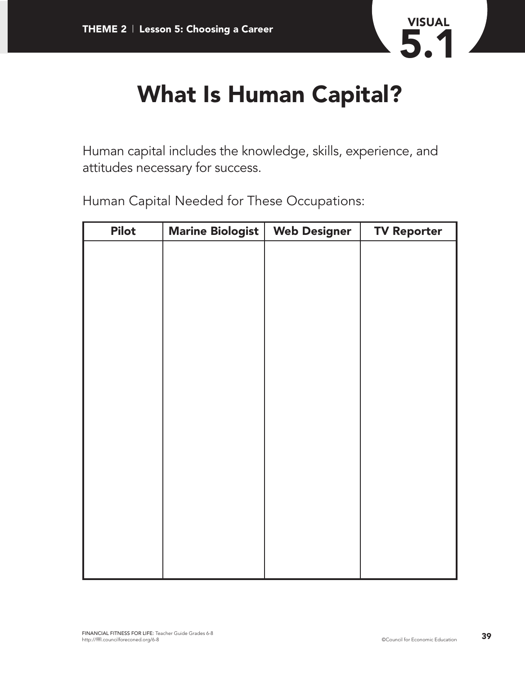

## **What Is Human Capital?**

Human capital includes the knowledge, skills, experience, and attitudes necessary for success.

Human Capital Needed for These Occupations:

| Pilot | <b>Marine Biologist</b> | <b>Web Designer</b> | <b>TV Reporter</b> |
|-------|-------------------------|---------------------|--------------------|
|       |                         |                     |                    |
|       |                         |                     |                    |
|       |                         |                     |                    |
|       |                         |                     |                    |
|       |                         |                     |                    |
|       |                         |                     |                    |
|       |                         |                     |                    |
|       |                         |                     |                    |
|       |                         |                     |                    |
|       |                         |                     |                    |
|       |                         |                     |                    |
|       |                         |                     |                    |
|       |                         |                     |                    |
|       |                         |                     |                    |
|       |                         |                     |                    |
|       |                         |                     |                    |
|       |                         |                     |                    |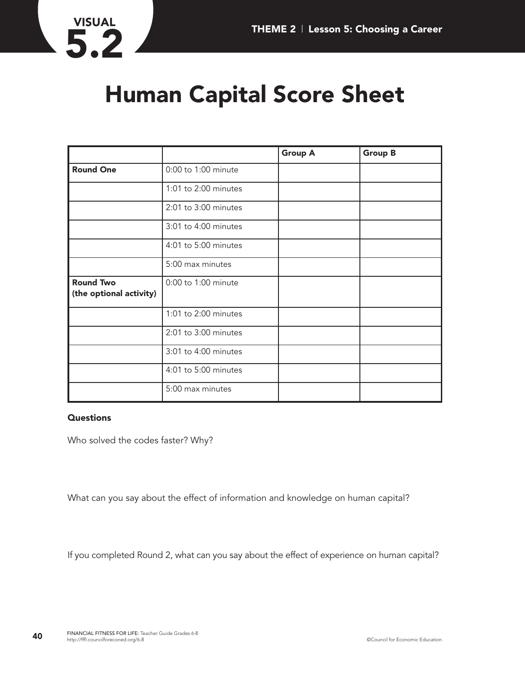

## **Human Capital Score Sheet**

|                                             |                      | <b>Group A</b> | <b>Group B</b> |
|---------------------------------------------|----------------------|----------------|----------------|
| <b>Round One</b>                            | 0:00 to 1:00 minute  |                |                |
|                                             | 1:01 to 2:00 minutes |                |                |
|                                             | 2:01 to 3:00 minutes |                |                |
|                                             | 3:01 to 4:00 minutes |                |                |
|                                             | 4:01 to 5:00 minutes |                |                |
|                                             | 5:00 max minutes     |                |                |
| <b>Round Two</b><br>(the optional activity) | 0:00 to 1:00 minute  |                |                |
|                                             | 1:01 to 2:00 minutes |                |                |
|                                             | 2:01 to 3:00 minutes |                |                |
|                                             | 3:01 to 4:00 minutes |                |                |
|                                             | 4:01 to 5:00 minutes |                |                |
|                                             | 5:00 max minutes     |                |                |

#### **Questions**

Who solved the codes faster? Why?

What can you say about the effect of information and knowledge on human capital?

If you completed Round 2, what can you say about the effect of experience on human capital?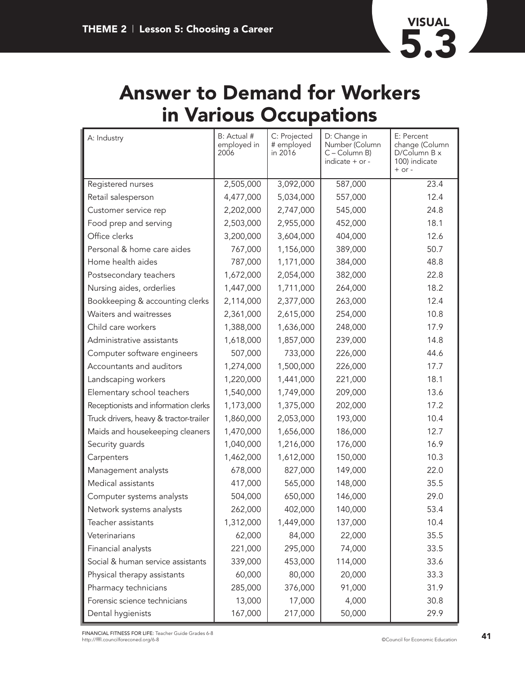

## **Answer to Demand for Workers in Various Occupations**

| A: Industry                            | B: Actual #<br>employed in<br>2006 | C: Projected<br># employed<br>in 2016 | D: Change in<br>Number (Column<br>C - Column B)<br>indicate + or - | E: Percent<br>change (Column<br>D/Column B x<br>100) indicate<br>$+$ or $-$ |
|----------------------------------------|------------------------------------|---------------------------------------|--------------------------------------------------------------------|-----------------------------------------------------------------------------|
| Registered nurses                      | 2,505,000                          | 3,092,000                             | 587,000                                                            | 23.4                                                                        |
| Retail salesperson                     | 4,477,000                          | 5,034,000                             | 557,000                                                            | 12.4                                                                        |
| Customer service rep                   | 2,202,000                          | 2,747,000                             | 545,000                                                            | 24.8                                                                        |
| Food prep and serving                  | 2,503,000                          | 2,955,000                             | 452,000                                                            | 18.1                                                                        |
| Office clerks                          | 3,200,000                          | 3,604,000                             | 404,000                                                            | 12.6                                                                        |
| Personal & home care aides             | 767,000                            | 1,156,000                             | 389,000                                                            | 50.7                                                                        |
| Home health aides                      | 787,000                            | 1,171,000                             | 384,000                                                            | 48.8                                                                        |
| Postsecondary teachers                 | 1,672,000                          | 2,054,000                             | 382,000                                                            | 22.8                                                                        |
| Nursing aides, orderlies               | 1,447,000                          | 1,711,000                             | 264,000                                                            | 18.2                                                                        |
| Bookkeeping & accounting clerks        | 2,114,000                          | 2,377,000                             | 263,000                                                            | 12.4                                                                        |
| Waiters and waitresses                 | 2,361,000                          | 2,615,000                             | 254,000                                                            | 10.8                                                                        |
| Child care workers                     | 1,388,000                          | 1,636,000                             | 248,000                                                            | 17.9                                                                        |
| Administrative assistants              | 1,618,000                          | 1,857,000                             | 239,000                                                            | 14.8                                                                        |
| Computer software engineers            | 507,000                            | 733,000                               | 226,000                                                            | 44.6                                                                        |
| Accountants and auditors               | 1,274,000                          | 1,500,000                             | 226,000                                                            | 17.7                                                                        |
| Landscaping workers                    | 1,220,000                          | 1,441,000                             | 221,000                                                            | 18.1                                                                        |
| Elementary school teachers             | 1,540,000                          | 1,749,000                             | 209,000                                                            | 13.6                                                                        |
| Receptionists and information clerks   | 1,173,000                          | 1,375,000                             | 202,000                                                            | 17.2                                                                        |
| Truck drivers, heavy & tractor-trailer | 1,860,000                          | 2,053,000                             | 193,000                                                            | 10.4                                                                        |
| Maids and housekeeping cleaners        | 1,470,000                          | 1,656,000                             | 186,000                                                            | 12.7                                                                        |
| Security guards                        | 1,040,000                          | 1,216,000                             | 176,000                                                            | 16.9                                                                        |
| Carpenters                             | 1,462,000                          | 1,612,000                             | 150,000                                                            | 10.3                                                                        |
| Management analysts                    | 678,000                            | 827,000                               | 149,000                                                            | 22.0                                                                        |
| Medical assistants                     | 417,000                            | 565,000                               | 148,000                                                            | 35.5                                                                        |
| Computer systems analysts              | 504,000                            | 650,000                               | 146,000                                                            | 29.0                                                                        |
| Network systems analysts               | 262,000                            | 402,000                               | 140,000                                                            | 53.4                                                                        |
| Teacher assistants                     | 1,312,000                          | 1,449,000                             | 137,000                                                            | 10.4                                                                        |
| Veterinarians                          | 62,000                             | 84,000                                | 22,000                                                             | 35.5                                                                        |
| Financial analysts                     | 221,000                            | 295,000                               | 74,000                                                             | 33.5                                                                        |
| Social & human service assistants      | 339,000                            | 453,000                               | 114,000                                                            | 33.6                                                                        |
| Physical therapy assistants            | 60,000                             | 80,000                                | 20,000                                                             | 33.3                                                                        |
| Pharmacy technicians                   | 285,000                            | 376,000                               | 91,000                                                             | 31.9                                                                        |
| Forensic science technicians           | 13,000                             | 17,000                                | 4,000                                                              | 30.8                                                                        |
| Dental hygienists                      | 167,000                            | 217,000                               | 50,000                                                             | 29.9                                                                        |

**41** FINANCIAL FITNESS FOR LIFE: Teacher Guide Grades 6-8 http://fffl.councilforeconed.org/6-8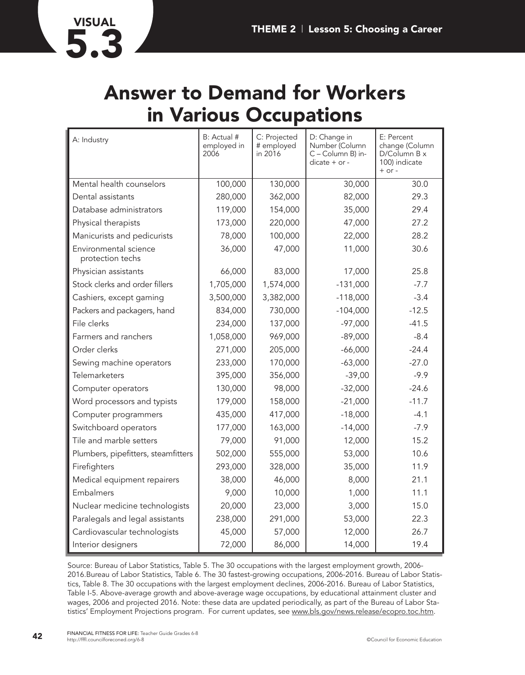## **Answer to Demand for Workers in Various Occupations**

| A: Industry                               | B: Actual #<br>employed in<br>2006 | C: Projected<br># employed<br>in 2016 | D: Change in<br>Number (Column<br>C - Column B) in-<br>dicate + or - | E: Percent<br>change (Column<br>D/Column B x<br>100) indicate<br>$+$ or $-$ |
|-------------------------------------------|------------------------------------|---------------------------------------|----------------------------------------------------------------------|-----------------------------------------------------------------------------|
| Mental health counselors                  | 100,000                            | 130,000                               | 30,000                                                               | 30.0                                                                        |
| Dental assistants                         | 280,000                            | 362,000                               | 82,000                                                               | 29.3                                                                        |
| Database administrators                   | 119,000                            | 154,000                               | 35,000                                                               | 29.4                                                                        |
| Physical therapists                       | 173,000                            | 220,000                               | 47,000                                                               | 27.2                                                                        |
| Manicurists and pedicurists               | 78,000                             | 100,000                               | 22,000                                                               | 28.2                                                                        |
| Environmental science<br>protection techs | 36,000                             | 47,000                                | 11,000                                                               | 30.6                                                                        |
| Physician assistants                      | 66,000                             | 83,000                                | 17,000                                                               | 25.8                                                                        |
| Stock clerks and order fillers            | 1,705,000                          | 1,574,000                             | $-131,000$                                                           | $-7.7$                                                                      |
| Cashiers, except gaming                   | 3,500,000                          | 3,382,000                             | $-118,000$                                                           | $-3.4$                                                                      |
| Packers and packagers, hand               | 834,000                            | 730,000                               | $-104,000$                                                           | $-12.5$                                                                     |
| File clerks                               | 234,000                            | 137,000                               | $-97,000$                                                            | $-41.5$                                                                     |
| Farmers and ranchers                      | 1,058,000                          | 969,000                               | $-89,000$                                                            | $-8.4$                                                                      |
| Order clerks                              | 271,000                            | 205,000                               | $-66,000$                                                            | $-24.4$                                                                     |
| Sewing machine operators                  | 233,000                            | 170,000                               | $-63,000$                                                            | $-27.0$                                                                     |
| Telemarketers                             | 395,000                            | 356,000                               | $-39,00$                                                             | $-9.9$                                                                      |
| Computer operators                        | 130,000                            | 98,000                                | $-32,000$                                                            | $-24.6$                                                                     |
| Word processors and typists               | 179,000                            | 158,000                               | $-21,000$                                                            | $-11.7$                                                                     |
| Computer programmers                      | 435,000                            | 417,000                               | $-18,000$                                                            | $-4.1$                                                                      |
| Switchboard operators                     | 177,000                            | 163,000                               | $-14,000$                                                            | $-7.9$                                                                      |
| Tile and marble setters                   | 79,000                             | 91,000                                | 12,000                                                               | 15.2                                                                        |
| Plumbers, pipefitters, steamfitters       | 502,000                            | 555,000                               | 53,000                                                               | 10.6                                                                        |
| Firefighters                              | 293,000                            | 328,000                               | 35,000                                                               | 11.9                                                                        |
| Medical equipment repairers               | 38,000                             | 46,000                                | 8,000                                                                | 21.1                                                                        |
| Embalmers                                 | 9,000                              | 10,000                                | 1,000                                                                | 11.1                                                                        |
| Nuclear medicine technologists            | 20,000                             | 23,000                                | 3,000                                                                | 15.0                                                                        |
| Paralegals and legal assistants           | 238,000                            | 291,000                               | 53,000                                                               | 22.3                                                                        |
| Cardiovascular technologists              | 45,000                             | 57,000                                | 12,000                                                               | 26.7                                                                        |
| Interior designers                        | 72,000                             | 86,000                                | 14,000                                                               | 19.4                                                                        |

Source: Bureau of Labor Statistics, Table 5. The 30 occupations with the largest employment growth, 2006- 2016.Bureau of Labor Statistics, Table 6. The 30 fastest-growing occupations, 2006-2016. Bureau of Labor Statistics, Table 8. The 30 occupations with the largest employment declines, 2006-2016. Bureau of Labor Statistics, Table I-5. Above-average growth and above-average wage occupations, by educational attainment cluster and wages, 2006 and projected 2016. Note: these data are updated periodically, as part of the Bureau of Labor Statistics' Employment Projections program. For current updates, see www.bls.gov/news.release/ecopro.toc.htm.

**VISUAL**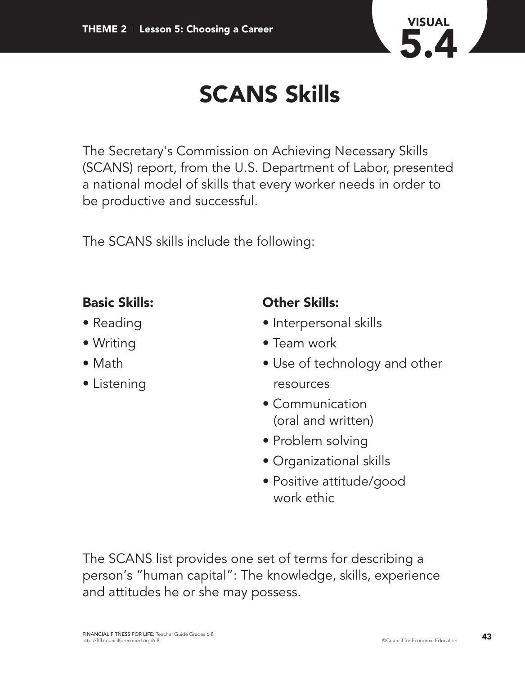

## **SCANS Skills**

The Secretary's Commission on Achieving Necessary Skills (SCANS) report, from the U.S. Department of Labor, presented a national model of skills that every worker needs in order to be productive and successful.

The SCANS skills include the following:

- 
- 
- 
- 

### **Basic Skills: Other Skills:**

- Reading  **Interpersonal skills**
- Writing  **Team work**
- Math Use of technology and other • Listening resources
	- Communication (oral and written)
	- Problem solving
	- Organizational skills
	- Positive attitude/good work ethic

The SCANS list provides one set of terms for describing a person's "human capital": The knowledge, skills, experience and attitudes he or she may possess.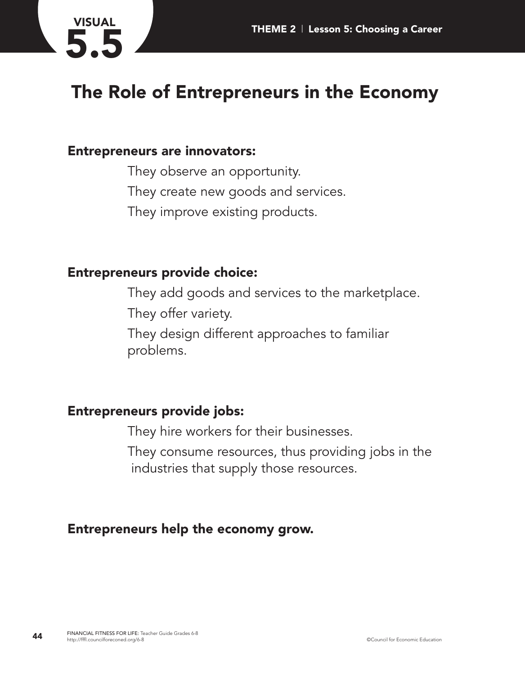

## **The Role of Entrepreneurs in the Economy**

#### **Entrepreneurs are innovators:**

They observe an opportunity. They create new goods and services. They improve existing products.

#### **Entrepreneurs provide choice:**

They add goods and services to the marketplace.

They offer variety.

They design different approaches to familiar problems.

#### **Entrepreneurs provide jobs:**

They hire workers for their businesses.

They consume resources, thus providing jobs in the industries that supply those resources.

#### **Entrepreneurs help the economy grow.**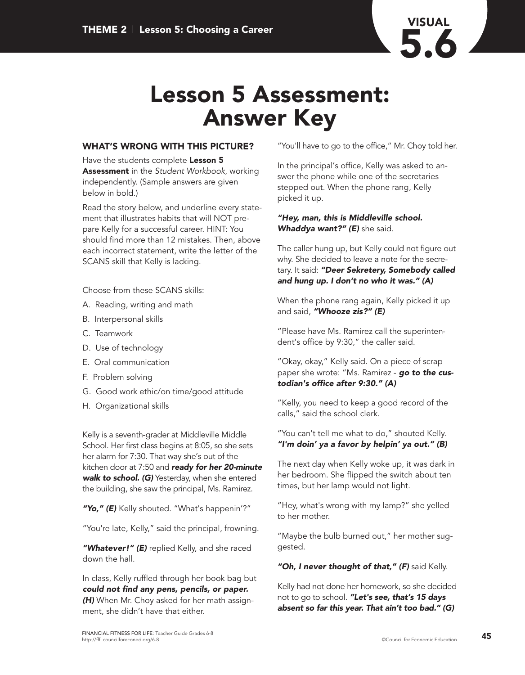## **VISUAL**

## **Lesson 5 Assessment: Answer Key**

#### **WHAT'S WRONG WITH THIS PICTURE?**

Have the students complete **Lesson 5 Assessment** in the *Student Workbook*, working independently. (Sample answers are given below in bold.)

Read the story below, and underline every statement that illustrates habits that will NOT prepare Kelly for a successful career. HINT: You should find more than 12 mistakes. Then, above each incorrect statement, write the letter of the SCANS skill that Kelly is lacking.

Choose from these SCANS skills:

- A. Reading, writing and math
- B. Interpersonal skills
- C. Teamwork
- D. Use of technology
- E. Oral communication
- F. Problem solving
- G. Good work ethic/on time/good attitude
- H. Organizational skills

Kelly is a seventh-grader at Middleville Middle School. Her first class begins at 8:05, so she sets her alarm for 7:30. That way she's out of the kitchen door at 7:50 and *ready for her 20-minute walk to school. (G)* Yesterday, when she entered the building, she saw the principal, Ms. Ramirez.

*"Yo," (E)* Kelly shouted. "What's happenin'?"

"You're late, Kelly," said the principal, frowning.

*"Whatever!" (E)* replied Kelly, and she raced down the hall.

In class, Kelly ruffled through her book bag but *could not find any pens, pencils, or paper. (H)* When Mr. Choy asked for her math assignment, she didn't have that either.

"You'll have to go to the office," Mr. Choy told her.

In the principal's office, Kelly was asked to answer the phone while one of the secretaries stepped out. When the phone rang, Kelly picked it up.

#### *"Hey, man, this is Middleville school. Whaddya want?" (E)* she said.

The caller hung up, but Kelly could not figure out why. She decided to leave a note for the secretary. It said: *"Deer Sekretery, Somebody called and hung up. I don't no who it was." (A)*

When the phone rang again, Kelly picked it up and said, *"Whooze zis?" (E)*

"Please have Ms. Ramirez call the superintendent's office by 9:30," the caller said.

"Okay, okay," Kelly said. On a piece of scrap paper she wrote: "Ms. Ramirez - *go to the custodian's office after 9:30." (A)*

"Kelly, you need to keep a good record of the calls," said the school clerk.

"You can't tell me what to do," shouted Kelly. *"I'm doin' ya a favor by helpin' ya out." (B)*

The next day when Kelly woke up, it was dark in her bedroom. She flipped the switch about ten times, but her lamp would not light.

"Hey, what's wrong with my lamp?" she yelled to her mother.

"Maybe the bulb burned out," her mother suggested.

#### *"Oh, I never thought of that," (F)* said Kelly.

Kelly had not done her homework, so she decided not to go to school. *"Let's see, that's 15 days absent so far this year. That ain't too bad." (G)*